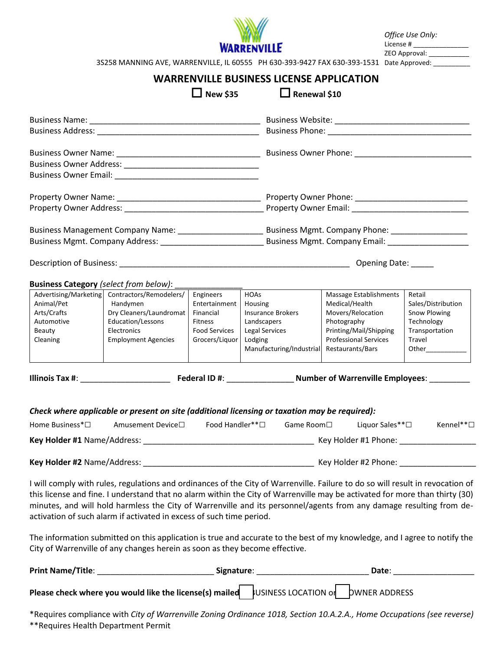

*Office Use Only:*  License # \_\_\_\_\_\_\_\_\_\_\_\_\_\_\_ ZEO Approval: \_\_\_\_\_\_\_\_\_\_\_\_\_

3S258 MANNING AVE, WARRENVILLE, IL 60555 PH 630-393-9427 FAX 630-393-1531 Date Approved: \_\_\_\_\_\_\_\_\_\_

## **WARRENVILLE BUSINESS LICENSE APPLICATION**

| <b>New \$35</b>                                                                                                                                                                                                                                     |                                                                                                                                                                                                                                                                                                                                                                                                                                                              | $\Box$ Renewal \$10                                       |                                                                   |                                                                              |                                                            |  |
|-----------------------------------------------------------------------------------------------------------------------------------------------------------------------------------------------------------------------------------------------------|--------------------------------------------------------------------------------------------------------------------------------------------------------------------------------------------------------------------------------------------------------------------------------------------------------------------------------------------------------------------------------------------------------------------------------------------------------------|-----------------------------------------------------------|-------------------------------------------------------------------|------------------------------------------------------------------------------|------------------------------------------------------------|--|
|                                                                                                                                                                                                                                                     |                                                                                                                                                                                                                                                                                                                                                                                                                                                              |                                                           |                                                                   |                                                                              |                                                            |  |
|                                                                                                                                                                                                                                                     |                                                                                                                                                                                                                                                                                                                                                                                                                                                              |                                                           |                                                                   |                                                                              |                                                            |  |
|                                                                                                                                                                                                                                                     |                                                                                                                                                                                                                                                                                                                                                                                                                                                              |                                                           |                                                                   |                                                                              |                                                            |  |
|                                                                                                                                                                                                                                                     |                                                                                                                                                                                                                                                                                                                                                                                                                                                              |                                                           |                                                                   |                                                                              |                                                            |  |
|                                                                                                                                                                                                                                                     |                                                                                                                                                                                                                                                                                                                                                                                                                                                              |                                                           |                                                                   |                                                                              |                                                            |  |
|                                                                                                                                                                                                                                                     |                                                                                                                                                                                                                                                                                                                                                                                                                                                              |                                                           |                                                                   |                                                                              |                                                            |  |
|                                                                                                                                                                                                                                                     |                                                                                                                                                                                                                                                                                                                                                                                                                                                              |                                                           |                                                                   |                                                                              |                                                            |  |
|                                                                                                                                                                                                                                                     |                                                                                                                                                                                                                                                                                                                                                                                                                                                              |                                                           |                                                                   |                                                                              |                                                            |  |
| Business Mgmt. Company Address: National Business Mgmt. Company Email:                                                                                                                                                                              |                                                                                                                                                                                                                                                                                                                                                                                                                                                              |                                                           |                                                                   |                                                                              |                                                            |  |
|                                                                                                                                                                                                                                                     |                                                                                                                                                                                                                                                                                                                                                                                                                                                              |                                                           |                                                                   |                                                                              |                                                            |  |
| <b>Business Category</b> (select from below):                                                                                                                                                                                                       |                                                                                                                                                                                                                                                                                                                                                                                                                                                              |                                                           |                                                                   |                                                                              |                                                            |  |
| Animal/Pet<br>Arts/Crafts<br>Automotive                                                                                                                                                                                                             | Advertising/Marketing Contractors/Remodelers/<br>Handymen<br>Dry Cleaners/Laundromat<br>Education/Lessons                                                                                                                                                                                                                                                                                                                                                    | Engineers<br>Entertainment<br>Financial<br><b>Fitness</b> | <b>HOAs</b><br>Housing<br><b>Insurance Brokers</b><br>Landscapers | Massage Establishments<br>Medical/Health<br>Movers/Relocation<br>Photography | Retail<br>Sales/Distribution<br>Snow Plowing<br>Technology |  |
| Beauty<br>Cleaning                                                                                                                                                                                                                                  | Electronics<br><b>Employment Agencies</b>                                                                                                                                                                                                                                                                                                                                                                                                                    | <b>Food Services</b><br>Grocers/Liquor                    | <b>Legal Services</b><br>Lodging<br>Manufacturing/Industrial      | Printing/Mail/Shipping<br><b>Professional Services</b><br>Restaurants/Bars   | Transportation<br>Travel                                   |  |
|                                                                                                                                                                                                                                                     |                                                                                                                                                                                                                                                                                                                                                                                                                                                              |                                                           |                                                                   |                                                                              |                                                            |  |
|                                                                                                                                                                                                                                                     | Check where applicable or present on site (additional licensing or taxation may be required):                                                                                                                                                                                                                                                                                                                                                                |                                                           |                                                                   |                                                                              |                                                            |  |
| Home Business <sup>*</sup> □                                                                                                                                                                                                                        | Amusement Device□                                                                                                                                                                                                                                                                                                                                                                                                                                            | Food Handler** $\Box$                                     |                                                                   | Game Room□ Liquor Sales**□                                                   | Kennel** $\square$                                         |  |
|                                                                                                                                                                                                                                                     |                                                                                                                                                                                                                                                                                                                                                                                                                                                              |                                                           |                                                                   |                                                                              |                                                            |  |
| Key Holder #2 Name/Address:                                                                                                                                                                                                                         |                                                                                                                                                                                                                                                                                                                                                                                                                                                              |                                                           |                                                                   |                                                                              |                                                            |  |
|                                                                                                                                                                                                                                                     | I will comply with rules, regulations and ordinances of the City of Warrenville. Failure to do so will result in revocation of<br>this license and fine. I understand that no alarm within the City of Warrenville may be activated for more than thirty (30)<br>minutes, and will hold harmless the City of Warrenville and its personnel/agents from any damage resulting from de-<br>activation of such alarm if activated in excess of such time period. |                                                           |                                                                   |                                                                              |                                                            |  |
|                                                                                                                                                                                                                                                     | The information submitted on this application is true and accurate to the best of my knowledge, and I agree to notify the<br>City of Warrenville of any changes herein as soon as they become effective.                                                                                                                                                                                                                                                     |                                                           |                                                                   |                                                                              |                                                            |  |
| Print Name/Title:<br>Date: the contract of the contract of the contract of the contract of the contract of the contract of the contract of the contract of the contract of the contract of the contract of the contract of the contract of the cont |                                                                                                                                                                                                                                                                                                                                                                                                                                                              |                                                           |                                                                   |                                                                              |                                                            |  |
| Please check where you would like the license(s) mailed   JUSINESS LOCATION of DWNER ADDRESS                                                                                                                                                        |                                                                                                                                                                                                                                                                                                                                                                                                                                                              |                                                           |                                                                   |                                                                              |                                                            |  |

\*Requires compliance with *City of Warrenville Zoning Ordinance 1018, Section 10.A.2.A., Home Occupations (see reverse)* \*\*Requires Health Department Permit